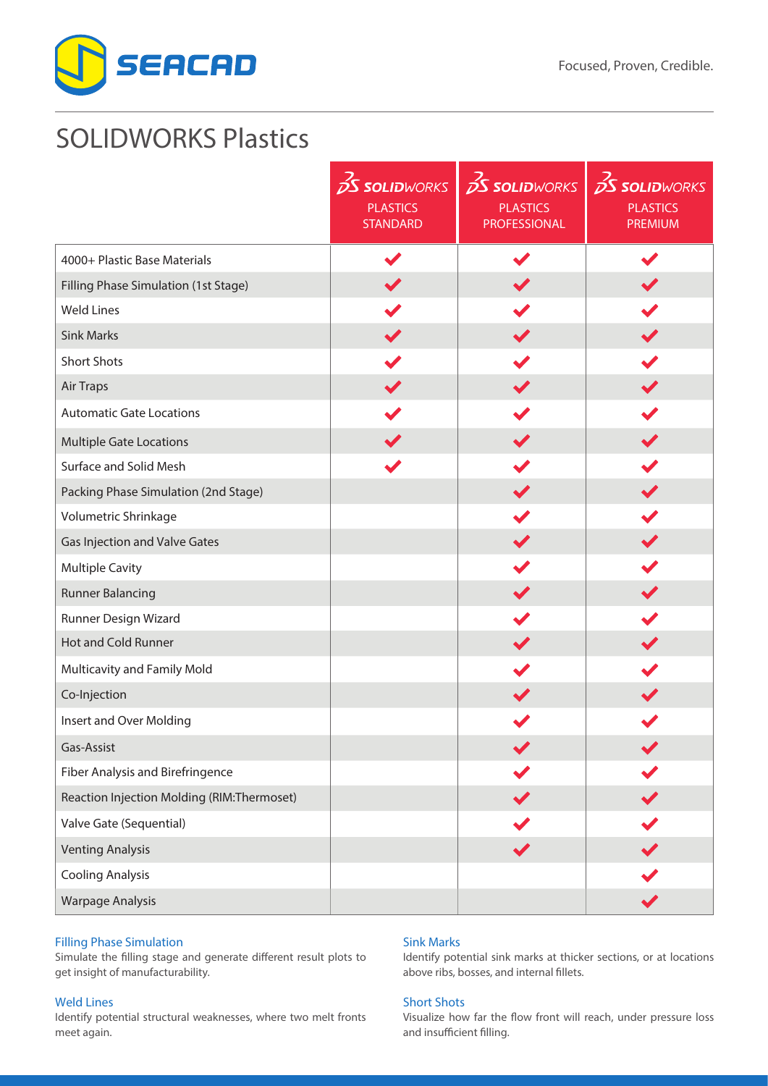



# SOLIDWORKS Plastics

|                                            | <b>S SOLIDWORKS</b>                | $25$ SOLIDWORKS                        | $\frac{1}{2}$ SOLIDWORKS          |
|--------------------------------------------|------------------------------------|----------------------------------------|-----------------------------------|
|                                            | <b>PLASTICS</b><br><b>STANDARD</b> | <b>PLASTICS</b><br><b>PROFESSIONAL</b> | <b>PLASTICS</b><br><b>PREMIUM</b> |
| 4000+ Plastic Base Materials               |                                    |                                        |                                   |
| Filling Phase Simulation (1st Stage)       |                                    |                                        |                                   |
| <b>Weld Lines</b>                          |                                    |                                        |                                   |
| <b>Sink Marks</b>                          |                                    |                                        |                                   |
| <b>Short Shots</b>                         |                                    |                                        |                                   |
| Air Traps                                  |                                    |                                        |                                   |
| <b>Automatic Gate Locations</b>            |                                    |                                        |                                   |
| <b>Multiple Gate Locations</b>             |                                    |                                        | $\blacktriangledown$              |
| Surface and Solid Mesh                     |                                    |                                        |                                   |
| Packing Phase Simulation (2nd Stage)       |                                    |                                        |                                   |
| Volumetric Shrinkage                       |                                    |                                        |                                   |
| Gas Injection and Valve Gates              |                                    |                                        |                                   |
| <b>Multiple Cavity</b>                     |                                    |                                        |                                   |
| <b>Runner Balancing</b>                    |                                    |                                        | $\blacktriangledown$              |
| Runner Design Wizard                       |                                    |                                        |                                   |
| Hot and Cold Runner                        |                                    |                                        |                                   |
| Multicavity and Family Mold                |                                    |                                        |                                   |
| Co-Injection                               |                                    |                                        |                                   |
| Insert and Over Molding                    |                                    |                                        |                                   |
| Gas-Assist                                 |                                    |                                        |                                   |
| Fiber Analysis and Birefringence           |                                    |                                        |                                   |
| Reaction Injection Molding (RIM:Thermoset) |                                    |                                        |                                   |
| Valve Gate (Sequential)                    |                                    |                                        |                                   |
| <b>Venting Analysis</b>                    |                                    |                                        |                                   |
| <b>Cooling Analysis</b>                    |                                    |                                        |                                   |
| <b>Warpage Analysis</b>                    |                                    |                                        |                                   |

# Filling Phase Simulation

Simulate the filling stage and generate different result plots to get insight of manufacturability.

# Weld Lines

Identify potential structural weaknesses, where two melt fronts meet again.

# Sink Marks

Identify potential sink marks at thicker sections, or at locations above ribs, bosses, and internal fillets.

# Short Shots

Visualize how far the flow front will reach, under pressure loss and insufficient filling.